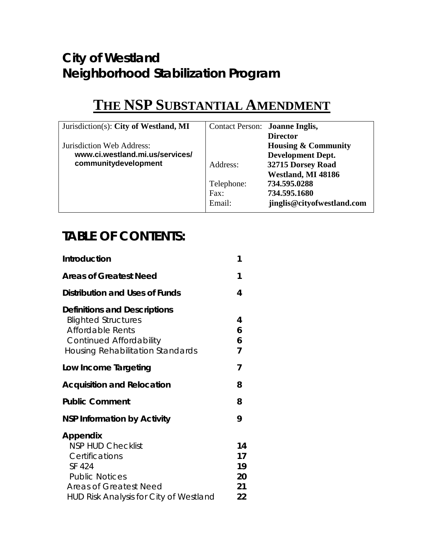## *City of Westland Neighborhood Stabilization Program*

# **THE NSP SUBSTANTIAL AMENDMENT**

| Jurisdiction(s): City of Westland, MI | Contact Person: Joanne Inglis, |                                |
|---------------------------------------|--------------------------------|--------------------------------|
|                                       |                                | <b>Director</b>                |
| Jurisdiction Web Address:             |                                | <b>Housing &amp; Community</b> |
| www.ci.westland.mi.us/services/       |                                | <b>Development Dept.</b>       |
| communitydevelopment                  | Address:                       | 32715 Dorsey Road              |
|                                       |                                | Westland, MI 48186             |
|                                       | Telephone:                     | 734.595.0288                   |
|                                       | Fax:                           | 734.595.1680                   |
|                                       | Email:                         | jinglis@cityofwestland.com     |

## *TABLE OF CONTENTS:*

| <i><b>Introduction</b></i>                                                                                                                                                  | 1                                |
|-----------------------------------------------------------------------------------------------------------------------------------------------------------------------------|----------------------------------|
| <b>Areas of Greatest Need</b>                                                                                                                                               | 1                                |
| Distribution and Uses of Funds                                                                                                                                              | 4                                |
| <b>Definitions and Descriptions</b><br><b>Blighted Structures</b><br>Affordable Rents<br><b>Continued Affordability</b><br><b>Housing Rehabilitation Standards</b>          | 4<br>6<br>6<br>7                 |
| Low Income Targeting                                                                                                                                                        | 7                                |
| <b>Acquisition and Relocation</b>                                                                                                                                           | 8                                |
| <b>Public Comment</b>                                                                                                                                                       | 8                                |
| <b>NSP Information by Activity</b>                                                                                                                                          | 9                                |
| Appendix<br><b>NSP HUD Checklist</b><br>Certifications<br>SF 424<br><b>Public Notices</b><br><b>Areas of Greatest Need</b><br><b>HUD Risk Analysis for City of Westland</b> | 14<br>17<br>19<br>20<br>21<br>22 |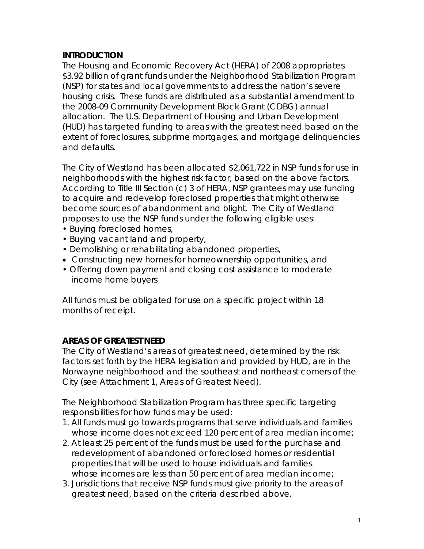#### *INTRODUCTION*

The Housing and Economic Recovery Act (HERA) of 2008 appropriates \$3.92 billion of grant funds under the Neighborhood Stabilization Program (NSP) for states and local governments to address the nation's severe housing crisis. These funds are distributed as a substantial amendment to the 2008-09 Community Development Block Grant (CDBG) annual allocation. The U.S. Department of Housing and Urban Development (HUD) has targeted funding to areas with the greatest need based on the extent of foreclosures, subprime mortgages, and mortgage delinquencies and defaults.

The City of Westland has been allocated \$2,061,722 in NSP funds for use in neighborhoods with the highest risk factor, based on the above factors. According to Title III Section (c) 3 of HERA, NSP grantees may use funding to acquire and redevelop foreclosed properties that might otherwise become sources of abandonment and blight. The City of Westland proposes to use the NSP funds under the following eligible uses:

- Buying foreclosed homes,
- Buying vacant land and property,
- Demolishing or rehabilitating abandoned properties,
- Constructing new homes for homeownership opportunities, and
- Offering down payment and closing cost assistance to moderate income home buyers

All funds must be obligated for use on a specific project within 18 months of receipt.

### *AREAS OF GREATEST NEED*

The City of Westland's areas of greatest need, determined by the risk factors set forth by the HERA legislation and provided by HUD, are in the Norwayne neighborhood and the southeast and northeast corners of the City (see Attachment 1, Areas of Greatest Need).

The Neighborhood Stabilization Program has three specific targeting responsibilities for how funds may be used:

- 1. All funds must go towards programs that serve individuals and families whose income does not exceed 120 percent of area median income;
- 2. At least 25 percent of the funds must be used for the purchase and redevelopment of abandoned or foreclosed homes or residential properties that will be used to house individuals and families whose incomes are less than 50 percent of area median income;
- 3. Jurisdictions that receive NSP funds must give priority to the areas of greatest need, based on the criteria described above.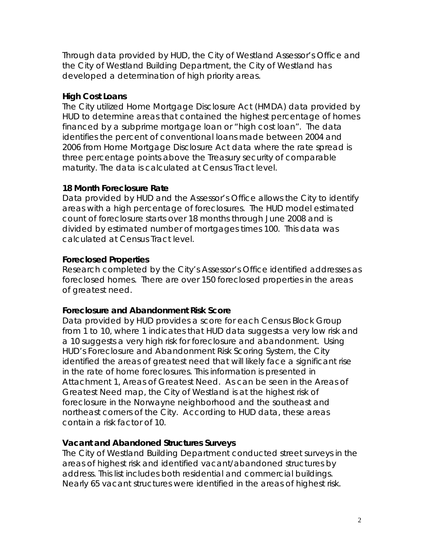Through data provided by HUD, the City of Westland Assessor's Office and the City of Westland Building Department, the City of Westland has developed a determination of high priority areas.

#### **High Cost Loans**

The City utilized Home Mortgage Disclosure Act (HMDA) data provided by HUD to determine areas that contained the highest percentage of homes financed by a subprime mortgage loan or "high cost loan". The data identifies the percent of conventional loans made between 2004 and 2006 from Home Mortgage Disclosure Act data where the rate spread is three percentage points above the Treasury security of comparable maturity. The data is calculated at Census Tract level.

#### **18 Month Foreclosure Rate**

Data provided by HUD and the Assessor's Office allows the City to identify areas with a high percentage of foreclosures. The HUD model estimated count of foreclosure starts over 18 months through June 2008 and is divided by estimated number of mortgages times 100. This data was calculated at Census Tract level.

### **Foreclosed Properties**

Research completed by the City's Assessor's Office identified addresses as foreclosed homes. There are over 150 foreclosed properties in the areas of greatest need.

#### **Foreclosure and Abandonment Risk Score**

Data provided by HUD provides a score for each Census Block Group from 1 to 10, where 1 indicates that HUD data suggests a very low risk and a 10 suggests a very high risk for foreclosure and abandonment. Using HUD's Foreclosure and Abandonment Risk Scoring System, the City identified the areas of greatest need that will likely face a significant rise in the rate of home foreclosures. This information is presented in Attachment 1, Areas of Greatest Need. As can be seen in the Areas of Greatest Need map, the City of Westland is at the highest risk of foreclosure in the Norwayne neighborhood and the southeast and northeast corners of the City. According to HUD data, these areas contain a risk factor of 10.

#### **Vacant and Abandoned Structures Surveys**

The City of Westland Building Department conducted street surveys in the areas of highest risk and identified vacant/abandoned structures by address. This list includes both residential and commercial buildings. Nearly 65 vacant structures were identified in the areas of highest risk.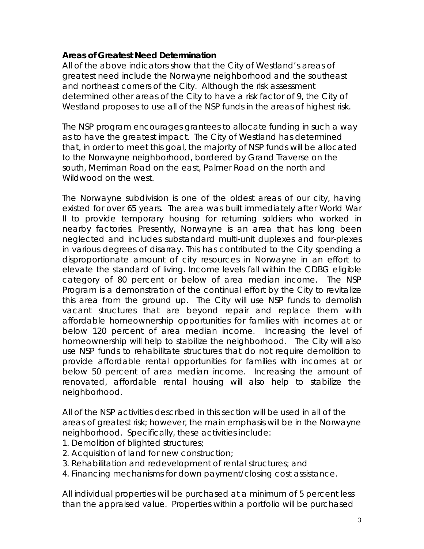#### **Areas of Greatest Need Determination**

All of the above indicators show that the City of Westland's areas of greatest need include the Norwayne neighborhood and the southeast and northeast corners of the City. Although the risk assessment determined other areas of the City to have a risk factor of 9, the City of Westland proposes to use all of the NSP funds in the areas of highest risk.

The NSP program encourages grantees to allocate funding in such a way as to have the greatest impact. The City of Westland has determined that, in order to meet this goal, the majority of NSP funds will be allocated to the Norwayne neighborhood, bordered by Grand Traverse on the south, Merriman Road on the east, Palmer Road on the north and Wildwood on the west.

The Norwayne subdivision is one of the oldest areas of our city, having existed for over 65 years. The area was built immediately after World War II to provide temporary housing for returning soldiers who worked in nearby factories. Presently, Norwayne is an area that has long been neglected and includes substandard multi-unit duplexes and four-plexes in various degrees of disarray. This has contributed to the City spending a disproportionate amount of city resources in Norwayne in an effort to elevate the standard of living. Income levels fall within the CDBG eligible category of 80 percent or below of area median income. The NSP Program is a demonstration of the continual effort by the City to revitalize this area from the ground up. The City will use NSP funds to demolish vacant structures that are beyond repair and replace them with affordable homeownership opportunities for families with incomes at or below 120 percent of area median income. Increasing the level of homeownership will help to stabilize the neighborhood. The City will also use NSP funds to rehabilitate structures that do not require demolition to provide affordable rental opportunities for families with incomes at or below 50 percent of area median income. Increasing the amount of renovated, affordable rental housing will also help to stabilize the neighborhood.

All of the NSP activities described in this section will be used in all of the areas of greatest risk; however, the main emphasis will be in the Norwayne neighborhood. Specifically, these activities include:

- 1. Demolition of blighted structures;
- 2. Acquisition of land for new construction;
- 3. Rehabilitation and redevelopment of rental structures; and
- 4. Financing mechanisms for down payment/closing cost assistance.

All individual properties will be purchased at a minimum of 5 percent less than the appraised value. Properties within a portfolio will be purchased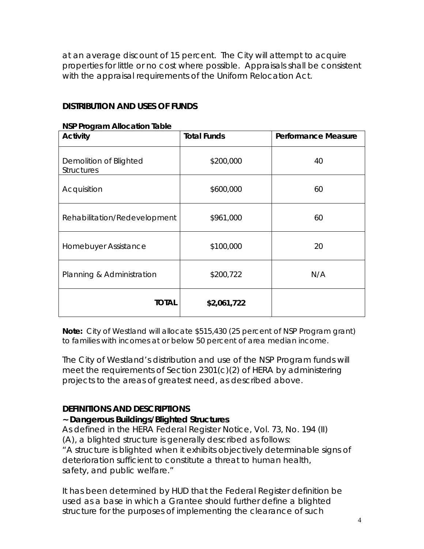at an average discount of 15 percent. The City will attempt to acquire properties for little or no cost where possible. Appraisals shall be consistent with the appraisal requirements of the Uniform Relocation Act.

#### *DISTRIBUTION AND USES OF FUNDS*

#### **NSP Program Allocation Table**

| <b>Activity</b>                             | <b>Total Funds</b> | <b>Performance Measure</b> |
|---------------------------------------------|--------------------|----------------------------|
| Demolition of Blighted<br><b>Structures</b> | \$200,000          | 40                         |
| Acquisition                                 | \$600,000          | 60                         |
| Rehabilitation/Redevelopment                | \$961,000          | 60                         |
| Homebuyer Assistance                        | \$100,000          | 20                         |
| Planning & Administration                   | \$200,722          | N/A                        |
| <b>TOTAL</b>                                | \$2,061,722        |                            |

**Note:** City of Westland will allocate \$515,430 (25 percent of NSP Program grant) to families with incomes at or below 50 percent of area median income.

The City of Westland's distribution and use of the NSP Program funds will meet the requirements of Section 2301(c)(2) of HERA by administering projects to the areas of greatest need, as described above.

#### *DEFINITIONS AND DESCRIPTIONS*

#### **~ Dangerous Buildings/Blighted Structures**

As defined in the HERA Federal Register Notice, Vol. 73, No. 194 (II) (A), a blighted structure is generally described as follows: "A structure is blighted when it exhibits objectively determinable signs of deterioration sufficient to constitute a threat to human health,

safety, and public welfare."

It has been determined by HUD that the Federal Register definition be used as a base in which a Grantee should further define a blighted structure for the purposes of implementing the clearance of such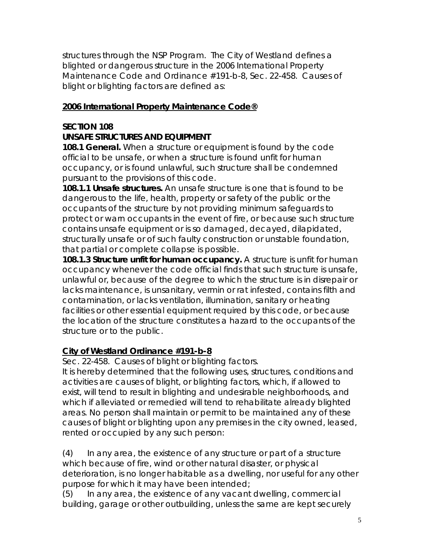structures through the NSP Program. The City of Westland defines a blighted or dangerous structure in the 2006 International Property Maintenance Code and Ordinance #191-b-8, Sec. 22-458. Causes of blight or blighting factors are defined as:

#### **2006 International Property Maintenance Code®**

## **SECTION 108**

#### **UNSAFE STRUCTURES AND EQUIPMENT**

**108.1 General.** When a structure or equipment is found by the code official to be unsafe, or when a structure is found unfit for human occupancy, or is found unlawful, such structure shall be condemned pursuant to the provisions of this code.

**108.1.1 Unsafe structures.** An unsafe structure is one that is found to be dangerous to the life, health, property or safety of the public or the occupants of the structure by not providing minimum safeguards to protect or warn occupants in the event of fire, or because such structure contains unsafe equipment or is so damaged, decayed, dilapidated, structurally unsafe or of such faulty construction or unstable foundation, that partial or complete collapse is possible.

**108.1.3 Structure unfit for human occupancy.** A structure is unfit for human occupancy whenever the code official finds that such structure is unsafe, unlawful or, because of the degree to which the structure is in disrepair or lacks maintenance, is unsanitary, vermin or rat infested, contains filth and contamination, or lacks ventilation, illumination, sanitary or heating facilities or other essential equipment required by this code, or because the location of the structure constitutes a hazard to the occupants of the structure or to the public.

### **City of Westland Ordinance #191-b-8**

Sec. 22-458. Causes of blight or blighting factors.

It is hereby determined that the following uses, structures, conditions and activities are causes of blight, or blighting factors, which, if allowed to exist, will tend to result in blighting and undesirable neighborhoods, and which if alleviated or remedied will tend to rehabilitate already blighted areas. No person shall maintain or permit to be maintained any of these causes of blight or blighting upon any premises in the city owned, leased, rented or occupied by any such person:

(4) In any area, the existence of any structure or part of a structure which because of fire, wind or other natural disaster, or physical deterioration, is no longer habitable as a dwelling, nor useful for any other purpose for which it may have been intended;

(5) In any area, the existence of any vacant dwelling, commercial building, garage or other outbuilding, unless the same are kept securely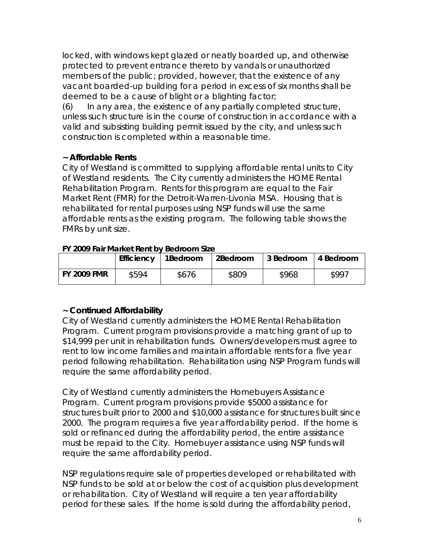locked, with windows kept glazed or neatly boarded up, and otherwise protected to prevent entrance thereto by vandals or unauthorized members of the public; provided, however, that the existence of any vacant boarded-up building for a period in excess of six months shall be deemed to be a cause of blight or a blighting factor;

(6) In any area, the existence of any partially completed structure, unless such structure is in the course of construction in accordance with a valid and subsisting building permit issued by the city, and unless such construction is completed within a reasonable time.

#### **~ Affordable Rents**

City of Westland is committed to supplying affordable rental units to City of Westland residents. The City currently administers the HOME Rental Rehabilitation Program. Rents for this program are equal to the Fair Market Rent (FMR) for the Detroit-Warren-Livonia MSA. Housing that is rehabilitated for rental purposes using NSP funds will use the same affordable rents as the existing program. The following table shows the FMRs by unit size.

| TT 2009 Fall Market Refit by Begroom Size |                       |       |          |           |           |  |
|-------------------------------------------|-----------------------|-------|----------|-----------|-----------|--|
|                                           | Efficiency   1Bedroom |       | 2Bedroom | 3 Bedroom | 4 Bedroom |  |
| FY 2009 FMR                               | \$594                 | \$676 | \$809    | \$968     | \$997     |  |

#### **FY 2009 Fair Market Rent by Bedroom Size**

### **~ Continued Affordability**

City of Westland currently administers the HOME Rental Rehabilitation Program. Current program provisions provide a matching grant of up to \$14,999 per unit in rehabilitation funds. Owners/developers must agree to rent to low income families and maintain affordable rents for a five year period following rehabilitation. Rehabilitation using NSP Program funds will require the same affordability period.

City of Westland currently administers the Homebuyers Assistance Program. Current program provisions provide \$5000 assistance for structures built prior to 2000 and \$10,000 assistance for structures built since 2000. The program requires a five year affordability period. If the home is sold or refinanced during the affordability period, the entire assistance must be repaid to the City. Homebuyer assistance using NSP funds will require the same affordability period.

NSP regulations require sale of properties developed or rehabilitated with NSP funds to be sold at or below the cost of acquisition plus development or rehabilitation. City of Westland will require a ten year affordability period for these sales. If the home is sold during the affordability period,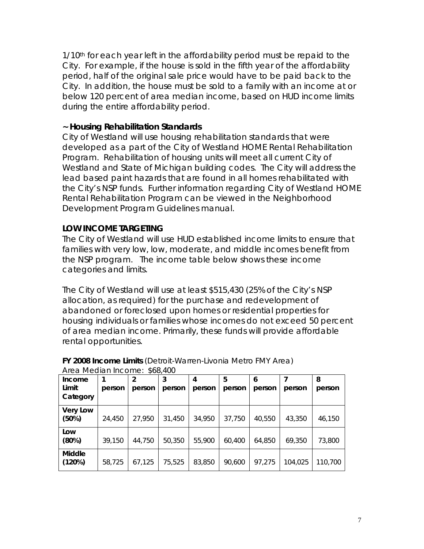1/10<sup>th</sup> for each year left in the affordability period must be repaid to the City. For example, if the house is sold in the fifth year of the affordability period, half of the original sale price would have to be paid back to the City. In addition, the house must be sold to a family with an income at or below 120 percent of area median income, based on HUD income limits during the entire affordability period.

#### **~ Housing Rehabilitation Standards**

City of Westland will use housing rehabilitation standards that were developed as a part of the City of Westland HOME Rental Rehabilitation Program. Rehabilitation of housing units will meet all current City of Westland and State of Michigan building codes. The City will address the lead based paint hazards that are found in all homes rehabilitated with the City's NSP funds. Further information regarding City of Westland HOME Rental Rehabilitation Program can be viewed in the Neighborhood Development Program Guidelines manual.

#### *LOW INCOME TARGETING*

The City of Westland will use HUD established income limits to ensure that families with very low, low, moderate, and middle incomes benefit from the NSP program. The income table below shows these income categories and limits.

The City of Westland will use at least \$515,430 (25% of the City's NSP allocation, as required) for the purchase and redevelopment of abandoned or foreclosed upon homes or residential properties for housing individuals or families whose incomes do not exceed 50 percent of area median income. Primarily, these funds will provide affordable rental opportunities.

| Income          |        |        | 3      | 4      | 5      | 6      |         | 8       |
|-----------------|--------|--------|--------|--------|--------|--------|---------|---------|
| Limit           | person | person | person | person | person | person | person  | person  |
| Category        |        |        |        |        |        |        |         |         |
| <b>Very Low</b> |        |        |        |        |        |        |         |         |
| (50%)           | 24,450 | 27,950 | 31,450 | 34,950 | 37,750 | 40,550 | 43,350  | 46,150  |
| Low             |        |        |        |        |        |        |         |         |
| (80%)           | 39,150 | 44,750 | 50,350 | 55,900 | 60,400 | 64,850 | 69,350  | 73,800  |
| <b>Middle</b>   |        |        |        |        |        |        |         |         |
| (120%)          | 58,725 | 67,125 | 75,525 | 83,850 | 90,600 | 97,275 | 104,025 | 110,700 |

#### **FY 2008 Income Limits** (Detroit-Warren-Livonia Metro FMY Area) Area Median Income: \$68,400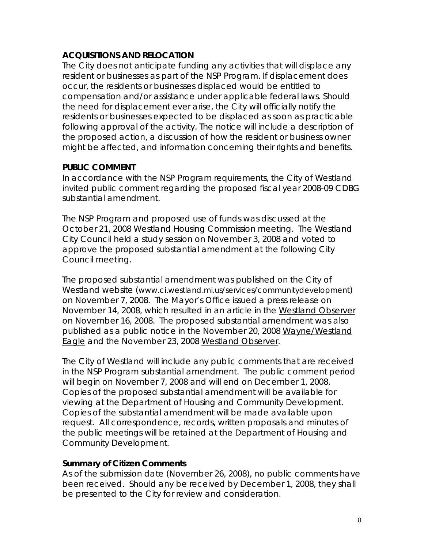#### *ACQUISITIONS AND RELOCATION*

The City does not anticipate funding any activities that will displace any resident or businesses as part of the NSP Program. If displacement does occur, the residents or businesses displaced would be entitled to compensation and/or assistance under applicable federal laws. Should the need for displacement ever arise, the City will officially notify the residents or businesses expected to be displaced as soon as practicable following approval of the activity. The notice will include a description of the proposed action, a discussion of how the resident or business owner might be affected, and information concerning their rights and benefits.

#### *PUBLIC COMMENT*

In accordance with the NSP Program requirements, the City of Westland invited public comment regarding the proposed fiscal year 2008-09 CDBG substantial amendment.

The NSP Program and proposed use of funds was discussed at the October 21, 2008 Westland Housing Commission meeting. The Westland City Council held a study session on November 3, 2008 and voted to approve the proposed substantial amendment at the following City Council meeting.

The proposed substantial amendment was published on the City of Westland website [\(www.ci.westland.mi.us/services/c](http://www.ci.westland.mi.us/services/)ommunitydevelopment) on November 7, 2008. The Mayor's Office issued a press release on November 14, 2008, which resulted in an article in the Westland Observer on November 16, 2008. The proposed substantial amendment was also published as a public notice in the November 20, 2008 Wayne/Westland Eagle and the November 23, 2008 Westland Observer.

The City of Westland will include any public comments that are received in the NSP Program substantial amendment. The public comment period will begin on November 7, 2008 and will end on December 1, 2008. Copies of the proposed substantial amendment will be available for viewing at the Department of Housing and Community Development. Copies of the substantial amendment will be made available upon request. All correspondence, records, written proposals and minutes of the public meetings will be retained at the Department of Housing and Community Development.

#### **Summary of Citizen Comments**

As of the submission date (November 26, 2008), no public comments have been received. Should any be received by December 1, 2008, they shall be presented to the City for review and consideration.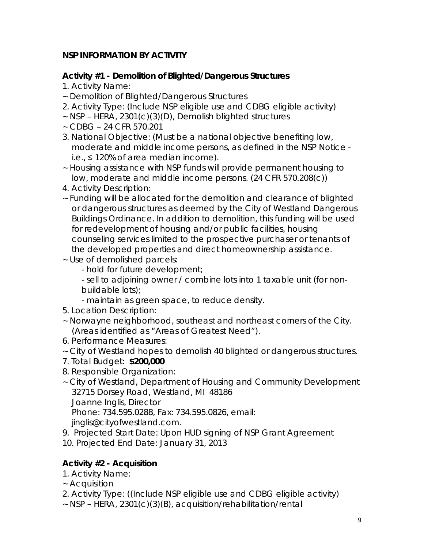## *NSP INFORMATION BY ACTIVITY*

## **Activity #1 - Demolition of Blighted/Dangerous Structures**

- 1. Activity Name:
- ~ Demolition of Blighted/Dangerous Structures
- 2. Activity Type: (Include NSP eligible use and CDBG eligible activity)
- ~ NSP HERA, 2301(c)(3)(D), Demolish blighted structures
- ~ CDBG 24 CFR 570.201
- 3. National Objective: (Must be a national objective benefiting low, moderate and middle income persons, as defined in the NSP Notice i.e., ≤ 120% of area median income).
- ~ Housing assistance with NSP funds will provide permanent housing to low, moderate and middle income persons. (24 CFR 570.208(c))
- 4. Activity Description:
- ~ Funding will be allocated for the demolition and clearance of blighted or dangerous structures as deemed by the City of Westland Dangerous Buildings Ordinance. In addition to demolition, this funding will be used for redevelopment of housing and/or public facilities, housing counseling services limited to the prospective purchaser or tenants of the developed properties and direct homeownership assistance.
- ~ Use of demolished parcels:
	- hold for future development;
	- sell to adjoining owner / combine lots into 1 taxable unit (for nonbuildable lots);
	- maintain as green space, to reduce density.
- 5. Location Description:
- ~ Norwayne neighborhood, southeast and northeast corners of the City. (Areas identified as "Areas of Greatest Need").
- 6. Performance Measures:
- ~ City of Westland hopes to demolish 40 blighted or dangerous structures.
- 7. Total Budget: **\$200,000**
- 8. Responsible Organization:
- ~ City of Westland, Department of Housing and Community Development 32715 Dorsey Road, Westland, MI 48186 Joanne Inglis, Director

Phone: 734.595.0288, Fax: 734.595.0826, email:

jinglis@cityofwestland.com.

9. Projected Start Date: Upon HUD signing of NSP Grant Agreement

10. Projected End Date: January 31, 2013

## **Activity #2 - Acquisition**

- 1. Activity Name:
- ~ Acquisition
- 2. Activity Type: ((Include NSP eligible use and CDBG eligible activity)
- ~ NSP HERA, 2301(c)(3)(B), acquisition/rehabilitation/rental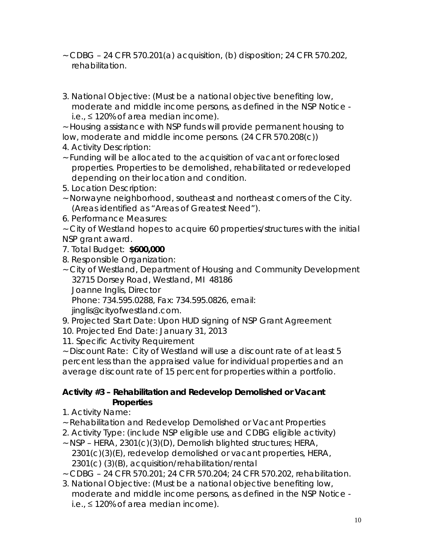- $\sim$  CDBG 24 CFR 570.201(a) acquisition, (b) disposition; 24 CFR 570.202, rehabilitation.
- 3. National Objective: (Must be a national objective benefiting low, moderate and middle income persons, as defined in the NSP Notice i.e., ≤ 120% of area median income).

~ Housing assistance with NSP funds will provide permanent housing to low, moderate and middle income persons. (24 CFR 570.208(c))

- 4. Activity Description:
- ~ Funding will be allocated to the acquisition of vacant or foreclosed properties. Properties to be demolished, rehabilitated or redeveloped depending on their location and condition.
- 5. Location Description:
- ~ Norwayne neighborhood, southeast and northeast corners of the City. (Areas identified as "Areas of Greatest Need").
- 6. Performance Measures:

~ City of Westland hopes to acquire 60 properties/structures with the initial NSP grant award.

- 7. Total Budget: **\$600,000**
- 8. Responsible Organization:
- ~ City of Westland, Department of Housing and Community Development 32715 Dorsey Road, Westland, MI 48186 Joanne Inglis, Director Phone: 734.595.0288, Fax: 734.595.0826, email:

jinglis@cityofwestland.com.

- 9. Projected Start Date: Upon HUD signing of NSP Grant Agreement
- 10. Projected End Date: January 31, 2013
- 11. Specific Activity Requirement

~ Discount Rate: City of Westland will use a discount rate of at least 5 percent less than the appraised value for individual properties and an average discount rate of 15 percent for properties within a portfolio.

#### **Activity #3 – Rehabilitation and Redevelop Demolished or Vacant Properties**

- 1. Activity Name:
- ~ Rehabilitation and Redevelop Demolished or Vacant Properties
- 2. Activity Type: (include NSP eligible use and CDBG eligible activity)
- ~ NSP HERA, 2301(c)(3)(D), Demolish blighted structures; HERA, 2301(c)(3)(E), redevelop demolished or vacant properties, HERA, 2301(c) (3)(B), acquisition/rehabilitation/rental
- ~ CDBG 24 CFR 570.201; 24 CFR 570.204; 24 CFR 570.202, rehabilitation.
- 3. National Objective: (Must be a national objective benefiting low, moderate and middle income persons, as defined in the NSP Notice i.e., ≤ 120% of area median income).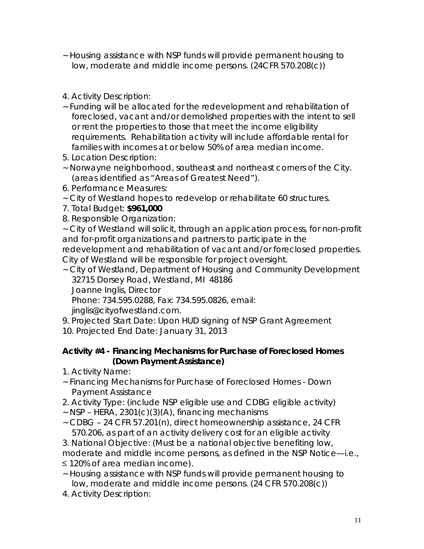- ~ Housing assistance with NSP funds will provide permanent housing to low, moderate and middle income persons. (24CFR 570.208(c))
- 4. Activity Description:
- ~ Funding will be allocated for the redevelopment and rehabilitation of foreclosed, vacant and/or demolished properties with the intent to sell or rent the properties to those that meet the income eligibility requirements. Rehabilitation activity will include affordable rental for families with incomes at or below 50% of area median income.
- 5. Location Description:
- ~ Norwayne neighborhood, southeast and northeast corners of the City. (areas identified as "Areas of Greatest Need").
- 6. Performance Measures:
- ~ City of Westland hopes to redevelop or rehabilitate 60 structures.
- 7. Total Budget: **\$961,000**
- 8. Responsible Organization:

~ City of Westland will solicit, through an application process, for non-profit and for-profit organizations and partners to participate in the

redevelopment and rehabilitation of vacant and/or foreclosed properties. City of Westland will be responsible for project oversight.

~ City of Westland, Department of Housing and Community Development 32715 Dorsey Road, Westland, MI 48186

Joanne Inglis, Director

Phone: 734.595.0288, Fax: 734.595.0826, email:

jinglis@cityofwestland.com.

9. Projected Start Date: Upon HUD signing of NSP Grant Agreement 10. Projected End Date: January 31, 2013

#### **Activity #4 - Financing Mechanisms for Purchase of Foreclosed Homes (Down Payment Assistance)**

- 1. Activity Name:
- ~ Financing Mechanisms for Purchase of Foreclosed Homes Down Payment Assistance
- 2. Activity Type: (include NSP eligible use and CDBG eligible activity)
- $\sim$  NSP HERA, 2301(c)(3)(A), financing mechanisms
- ~ CDBG 24 CFR 57.201(n), direct homeownership assistance, 24 CFR 570.206, as part of an activity delivery cost for an eligible activity
- 3. National Objective: (Must be a national objective benefiting low,
- moderate and middle income persons, as defined in the NSP Notice—i.e.,
- ≤ 120% of area median income).
- ~ Housing assistance with NSP funds will provide permanent housing to low, moderate and middle income persons. (24 CFR 570.208(c))
- 4. Activity Description: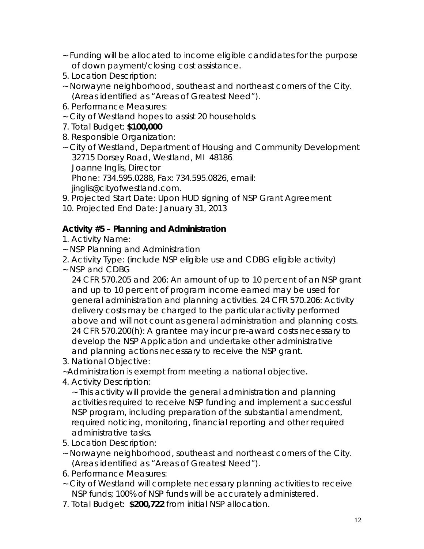- ~ Funding will be allocated to income eligible candidates for the purpose of down payment/closing cost assistance.
- 5. Location Description:
- ~ Norwayne neighborhood, southeast and northeast corners of the City. (Areas identified as "Areas of Greatest Need").
- 6. Performance Measures:
- ~ City of Westland hopes to assist 20 households.
- 7. Total Budget: **\$100,000**
- 8. Responsible Organization:
- ~ City of Westland, Department of Housing and Community Development 32715 Dorsey Road, Westland, MI 48186 Joanne Inglis, Director Phone: 734.595.0288, Fax: 734.595.0826, email: jinglis@cityofwestland.com.
- 9. Projected Start Date: Upon HUD signing of NSP Grant Agreement
- 10. Projected End Date: January 31, 2013

#### **Activity #5 – Planning and Administration**

- 1. Activity Name:
- ~ NSP Planning and Administration
- 2. Activity Type: (include NSP eligible use and CDBG eligible activity)
- ~ NSP and CDBG

24 CFR 570.205 and 206: An amount of up to 10 percent of an NSP grant and up to 10 percent of program income earned may be used for general administration and planning activities. 24 CFR 570.206: Activity delivery costs may be charged to the particular activity performed above and will not count as general administration and planning costs. 24 CFR 570.200(h): A grantee may incur pre-award costs necessary to develop the NSP Application and undertake other administrative and planning actions necessary to receive the NSP grant.

3. National Objective:

~Administration is exempt from meeting a national objective.

4. Activity Description:

~ This activity will provide the general administration and planning activities required to receive NSP funding and implement a successful NSP program, including preparation of the substantial amendment, required noticing, monitoring, financial reporting and other required administrative tasks.

- 5. Location Description:
- ~ Norwayne neighborhood, southeast and northeast corners of the City. (Areas identified as "Areas of Greatest Need").
- 6. Performance Measures:
- ~ City of Westland will complete necessary planning activities to receive NSP funds; 100% of NSP funds will be accurately administered.
- 7. Total Budget: **\$200,722** from initial NSP allocation.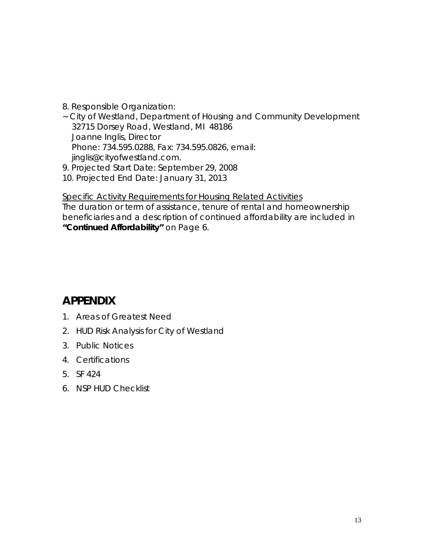- 8. Responsible Organization:
- ~ City of Westland, Department of Housing and Community Development 32715 Dorsey Road, Westland, MI 48186 Joanne Inglis, Director Phone: 734.595.0288, Fax: 734.595.0826, email: jinglis@cityofwestland.com.
- 9. Projected Start Date: September 29, 2008
- 10. Projected End Date: January 31, 2013

#### *Specific Activity Requirements for Housing Related Activities*

The duration or term of assistance, tenure of rental and homeownership beneficiaries and a description of continued affordability are included in *"Continued Affordability"* on Page 6.

## *APPENDIX*

- 1. Areas of Greatest Need
- 2. HUD Risk Analysis for City of Westland
- 3. Public Notices
- 4. Certifications
- 5. SF 424
- 6. NSP HUD Checklist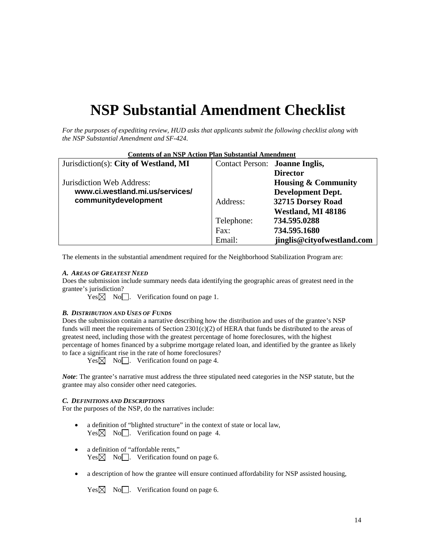# **NSP Substantial Amendment Checklist**

*For the purposes of expediting review, HUD asks that applicants submit the following checklist along with the NSP Substantial Amendment and SF-424.*

| <b>Contents of an NSP Action Plan Substantial Amendment</b> |                                |                                |  |  |
|-------------------------------------------------------------|--------------------------------|--------------------------------|--|--|
| Jurisdiction(s): City of Westland, MI                       | Contact Person: Joanne Inglis, |                                |  |  |
|                                                             |                                | <b>Director</b>                |  |  |
| Jurisdiction Web Address:                                   |                                | <b>Housing &amp; Community</b> |  |  |
| www.ci.westland.mi.us/services/                             |                                | <b>Development Dept.</b>       |  |  |
| communitydevelopment                                        | Address:                       | 32715 Dorsey Road              |  |  |
|                                                             |                                | Westland, MI 48186             |  |  |
|                                                             | Telephone:                     | 734.595.0288                   |  |  |
|                                                             | Fax:                           | 734.595.1680                   |  |  |
|                                                             | Email:                         | jinglis@cityofwestland.com     |  |  |

The elements in the substantial amendment required for the Neighborhood Stabilization Program are:

#### *A. AREAS OF GREATEST NEED*

Does the submission include summary needs data identifying the geographic areas of greatest need in the grantee's jurisdiction?

 $Yes \boxtimes No \text{ } No \text{ } \square$ . Verification found on page 1.

#### *B. DISTRIBUTION AND USES OF FUNDS*

Does the submission contain a narrative describing how the distribution and uses of the grantee's NSP funds will meet the requirements of Section  $2301(c)(2)$  of HERA that funds be distributed to the areas of greatest need, including those with the greatest percentage of home foreclosures, with the highest percentage of homes financed by a subprime mortgage related loan, and identified by the grantee as likely to face a significant rise in the rate of home foreclosures?

 $Yes \boxtimes No \text{\textcirc}$ . Verification found on page 4.

*Note*: The grantee's narrative must address the three stipulated need categories in the NSP statute, but the grantee may also consider other need categories.

#### *C. DEFINITIONS AND DESCRIPTIONS*

For the purposes of the NSP, do the narratives include:

- a definition of "blighted structure" in the context of state or local law,  $Yes \boxtimes No \text{ }$ . Verification found on page 4.
- a definition of "affordable rents,"  $Yes \times No \cap$ . Verification found on page 6.
- a description of how the grantee will ensure continued affordability for NSP assisted housing,

 $Yes \boxtimes No \text{\textcircled{}}$ . Verification found on page 6.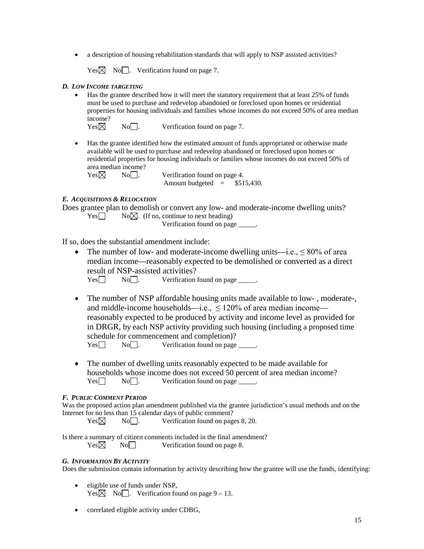• a description of housing rehabilitation standards that will apply to NSP assisted activities?

 $Yes \boxtimes No$  . Verification found on page 7.

#### *D. LOW INCOME TARGETING*

• Has the grantee described how it will meet the statutory requirement that at least 25% of funds must be used to purchase and redevelop abandoned or foreclosed upon homes or residential properties for housing individuals and families whose incomes do not exceed 50% of area median income?<br>Yes $\boxtimes$ 

 $No$ . Verification found on page 7.

• Has the grantee identified how the estimated amount of funds appropriated or otherwise made available will be used to purchase and redevelop abandoned or foreclosed upon homes or residential properties for housing individuals or families whose incomes do not exceed 50% of area median income?

 $Yes \boxtimes$  No  $\Box$ . Verification found on page 4. Amount budgeted  $=$  \$515,430.

#### *E. ACQUISITIONS & RELOCATION*

Does grantee plan to demolish or convert any low- and moderate-income dwelling units?  $Yes \Box$  No $\boxtimes$ . (If no, continue to next heading)

Verification found on page \_\_\_\_\_.

If so, does the substantial amendment include:

• The number of low- and moderate-income dwelling units—i.e.,  $\leq 80\%$  of area median income—reasonably expected to be demolished or converted as a direct result of NSP-assisted activities?

 $Yes \Box$  No  $\Box$ . Verification found on page  $\Box$ .

- The number of NSP affordable housing units made available to low-, moderate-, and middle-income households—i.e., <120% of area median income reasonably expected to be produced by activity and income level as provided for in DRGR, by each NSP activity providing such housing (including a proposed time schedule for commencement and completion)?  $Yes \Box \qquad No \Box.$  Verification found on page  $\Box$ .
- The number of dwelling units reasonably expected to be made available for households whose income does not exceed 50 percent of area median income?<br>  $Yes \Box \qquad No \Box$  Verification found on page  $No$ . Verification found on page \_\_\_\_\_.

#### *F. PUBLIC COMMENT PERIOD*

Was the proposed action plan amendment published via the grantee jurisdiction's usual methods and on the Internet for no less than 15 calendar days of public comment?

 $Yes \boxtimes$  No  $\Box$ . Verification found on pages 8, 20.

Is there a summary of citizen comments included in the final amendment?  $Yes \boxtimes$  No Verification found on page 8.

#### *G. INFORMATION BY ACTIVITY*

Does the submission contain information by activity describing how the grantee will use the funds, identifying:

- eligible use of funds under NSP,  $Yes \times No \rightarrow$ . Verification found on page 9 – 13.
- correlated eligible activity under CDBG,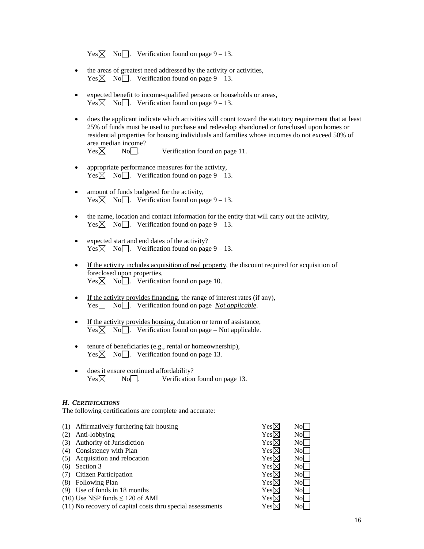|  |  | Yes $\boxtimes$ No $\Box$ . Verification found on page 9 – 13. |  |  |  |
|--|--|----------------------------------------------------------------|--|--|--|
|--|--|----------------------------------------------------------------|--|--|--|

- the areas of greatest need addressed by the activity or activities,  $Yes \times No \quad No \quad$ . Verification found on page 9 – 13.
- expected benefit to income-qualified persons or households or areas,  $Yes \boxtimes No \text{\textcirc}$ . Verification found on page 9 – 13.
- does the applicant indicate which activities will count toward the statutory requirement that at least 25% of funds must be used to purchase and redevelop abandoned or foreclosed upon homes or residential properties for housing individuals and families whose incomes do not exceed 50% of area median income?

 $Yes \boxtimes$  No  $\Box$ . Verification found on page 11.

- appropriate performance measures for the activity,  $Yes \overline{\boxtimes}$  No  $\overline{\square}$ . Verification found on page 9 – 13.
- amount of funds budgeted for the activity,  $Yes \boxtimes No \text{\textcirc}$ . Verification found on page 9 – 13.
- the name, location and contact information for the entity that will carry out the activity,  $Yes \boxtimes No \text{ } No \text{ } .$  Verification found on page 9 – 13.
- expected start and end dates of the activity?  $Yes \boxtimes No \text{\textcirc}$ . Verification found on page 9 – 13.
- If the activity includes acquisition of real property, the discount required for acquisition of foreclosed upon properties,  $Yes \boxtimes No \square$ . Verification found on page 10.
- If the activity provides financing, the range of interest rates (if any), Yes No . Verification found on page *Not applicable*.
- If the activity provides housing, duration or term of assistance,  $Yes \boxtimes No \square$ . Verification found on page – Not applicable.
- tenure of beneficiaries (e.g., rental or homeownership),  $Yes \boxtimes No \text{\textcirc}$ . Verification found on page 13.
- does it ensure continued affordability?  $Yes \boxtimes$  No  $\Box$ . Verification found on page 13.

#### *H. CERTIFICATIONS*

The following certifications are complete and accurate:

(1) Affirmatively furthering fair housing  $Yes \boxtimes$  No (2) Anti-lobbying  $Yes \boxtimes No \longrightarrow$ <br>(3) Authority of Jurisdiction  $Yes \boxtimes No \longrightarrow$ (3) Authority of Jurisdiction  $\text{Yes} \boxtimes \text{No}$ (4) Consistency with Plan  $Yes \boxtimes$  No  $\Box$ <br>
(5) Acquisition and relocation  $Yes \boxtimes$  No  $\Box$ (5) Acquisition and relocation  $\text{Yes} \boxtimes$ <br>
(6) Section 3  $\text{Yes} \boxtimes$ (6) Section 3  $Yes \times No$ (7) Citizen Participation  $\text{Yes} \boxtimes \text{No}$ (8) Following Plan  $\text{Yes} \boxtimes \text{No}$ (9) Use of funds in 18 months Yes  $\boxtimes$  No  $\Box$ (10) Use NSP funds  $\leq 120$  of AMI Yes  $\boxtimes$  No (11) No recovery of capital costs thru special assessments  $\text{Yes} \boxtimes \text{No}$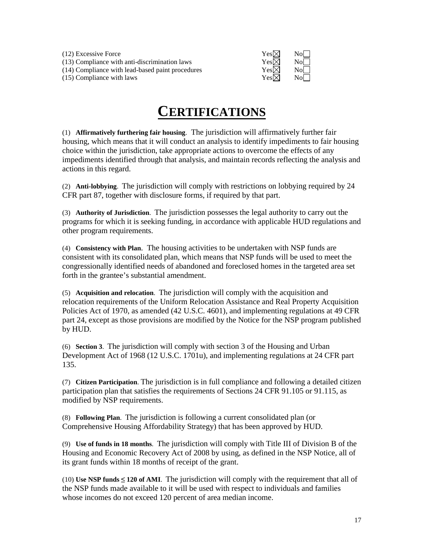(12) Excessive Force  $Y(13)$  Compliance with anti-discrimination laws  $Y(13)$  $(13)$  Compliance with anti-discrimination laws (14) Compliance with lead-based paint procedures Y  $(15)$  Compliance with laws

| 7es⊠ | No             |
|------|----------------|
| 7es⊠ | N <sub>o</sub> |
| 7es⊠ | No             |
| 7es⊠ | No             |

# **CERTIFICATIONS**

(1) **Affirmatively furthering fair housing**. The jurisdiction will affirmatively further fair housing, which means that it will conduct an analysis to identify impediments to fair housing choice within the jurisdiction, take appropriate actions to overcome the effects of any impediments identified through that analysis, and maintain records reflecting the analysis and actions in this regard.

(2) **Anti-lobbying**. The jurisdiction will comply with restrictions on lobbying required by 24 CFR part 87, together with disclosure forms, if required by that part.

(3) **Authority of Jurisdiction**. The jurisdiction possesses the legal authority to carry out the programs for which it is seeking funding, in accordance with applicable HUD regulations and other program requirements.

(4) **Consistency with Plan**. The housing activities to be undertaken with NSP funds are consistent with its consolidated plan, which means that NSP funds will be used to meet the congressionally identified needs of abandoned and foreclosed homes in the targeted area set forth in the grantee's substantial amendment.

(5) **Acquisition and relocation**. The jurisdiction will comply with the acquisition and relocation requirements of the Uniform Relocation Assistance and Real Property Acquisition Policies Act of 1970, as amended (42 U.S.C. 4601), and implementing regulations at 49 CFR part 24, except as those provisions are modified by the Notice for the NSP program published by HUD.

(6) **Section 3**. The jurisdiction will comply with section 3 of the Housing and Urban Development Act of 1968 (12 U.S.C. 1701u), and implementing regulations at 24 CFR part 135.

(7) **Citizen Participation**. The jurisdiction is in full compliance and following a detailed citizen participation plan that satisfies the requirements of Sections 24 CFR 91.105 or 91.115, as modified by NSP requirements.

(8) **Following Plan**. The jurisdiction is following a current consolidated plan (or Comprehensive Housing Affordability Strategy) that has been approved by HUD.

(9) **Use of funds in 18 months**. The jurisdiction will comply with Title III of Division B of the Housing and Economic Recovery Act of 2008 by using, as defined in the NSP Notice, all of its grant funds within 18 months of receipt of the grant.

(10) **Use NSP funds ≤ 120 of AMI**. The jurisdiction will comply with the requirement that all of the NSP funds made available to it will be used with respect to individuals and families whose incomes do not exceed 120 percent of area median income.